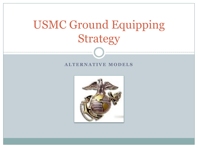# USMC Ground Equipping Strategy

#### **ALTERNATIVE MODELS**

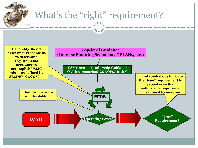

### What's the "right" requirement?

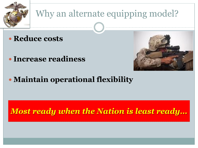

## Why an alternate equipping model?

- **Reduce costs**
- **Increase readiness**



**Maintain operational flexibility**

#### *Most ready when the Nation is least ready…*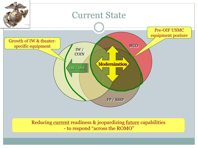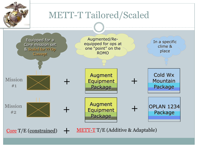